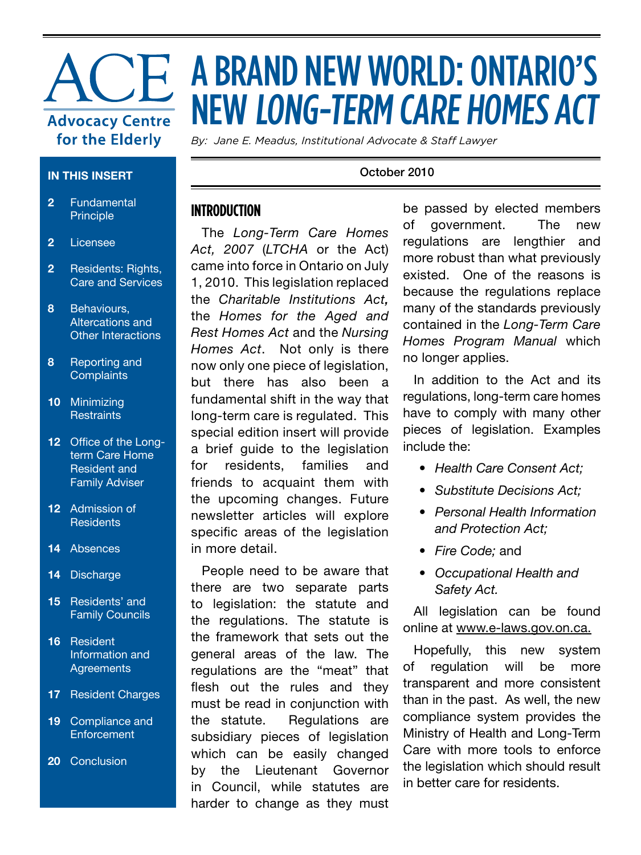# **Advocacy Centre** for the Elderly

#### **IN THIS INSERT**

- **2** Fundamental Principle
- **2** Licensee
- **2** Residents: Rights, Care and Services
- **8** Behaviours, Altercations and Other Interactions
- **8** Reporting and **Complaints**
- **10** Minimizing **Restraints**
- **12** Office of the Longterm Care Home Resident and Family Adviser
- **12** Admission of **Residents**
- **14** Absences
- **14** Discharge
- **15** Residents' and Family Councils
- **16** Resident Information and **Agreements**
- **17** Resident Charges
- **19** Compliance and **Enforcement**
- **20** Conclusion

## **THE A BRAND NEW WORLD: ONTARIO'S** NEW LONG-TERM CARE HOMES ACT

*By: Jane E. Meadus, Institutional Advocate & Staff Lawyer*

#### October 2010

## **INTRODUCTION**

The *Long-Term Care Homes Act, 2007* (*LTCHA* or the Act) came into force in Ontario on July 1, 2010. This legislation replaced the *Charitable Institutions Act,* the *Homes for the Aged and Rest Homes Act* and the *Nursing Homes Act*. Not only is there now only one piece of legislation, but there has also been a fundamental shift in the way that long-term care is regulated. This special edition insert will provide a brief guide to the legislation for residents, families and friends to acquaint them with the upcoming changes. Future newsletter articles will explore specific areas of the legislation in more detail.

People need to be aware that there are two separate parts to legislation: the statute and the regulations. The statute is the framework that sets out the general areas of the law. The regulations are the "meat" that flesh out the rules and they must be read in conjunction with the statute. Regulations are subsidiary pieces of legislation which can be easily changed by the Lieutenant Governor in Council, while statutes are harder to change as they must be passed by elected members of government. The new regulations are lengthier and more robust than what previously existed. One of the reasons is because the regulations replace many of the standards previously contained in the *Long-Term Care Homes Program Manual* which no longer applies.

In addition to the Act and its regulations, long-term care homes have to comply with many other pieces of legislation. Examples include the:

- *• Health Care Consent Act;*
- *• Substitute Decisions Act;*
- *• Personal Health Information and Protection Act;*
- *• Fire Code;* and
- *• Occupational Health and Safety Act.*

All legislation can be found online at www.e-laws.gov.on.ca.

Hopefully, this new system of regulation will be more transparent and more consistent than in the past. As well, the new compliance system provides the Ministry of Health and Long-Term Care with more tools to enforce the legislation which should result in better care for residents.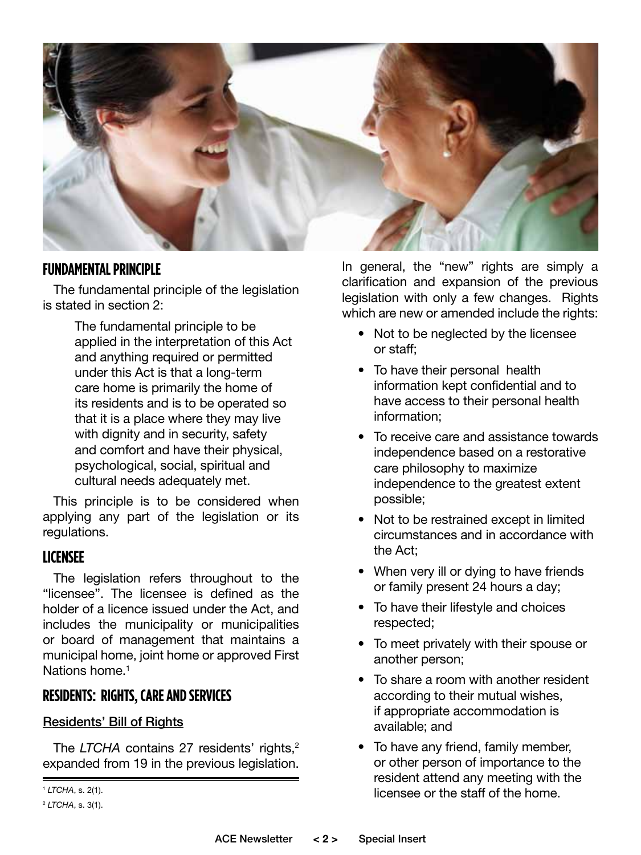

## **FUNDAMENTAL PRINCIPLE**

The fundamental principle of the legislation is stated in section 2:

> The fundamental principle to be applied in the interpretation of this Act and anything required or permitted under this Act is that a long-term care home is primarily the home of its residents and is to be operated so that it is a place where they may live with dignity and in security, safety and comfort and have their physical, psychological, social, spiritual and cultural needs adequately met.

This principle is to be considered when applying any part of the legislation or its regulations.

## **LICENSEE**

The legislation refers throughout to the "licensee". The licensee is defined as the holder of a licence issued under the Act, and includes the municipality or municipalities or board of management that maintains a municipal home, joint home or approved First Nations home.<sup>1</sup>

## **RESIDENTS: RIGHTS, CARE AND SERVICES**

#### Residents' Bill of Rights

The *LTCHA* contains 27 residents' rights,<sup>2</sup> expanded from 19 in the previous legislation. In general, the "new" rights are simply a clarification and expansion of the previous legislation with only a few changes. Rights which are new or amended include the rights:

- Not to be neglected by the licensee or staff;
- To have their personal health information kept confidential and to have access to their personal health information;
- To receive care and assistance towards independence based on a restorative care philosophy to maximize independence to the greatest extent possible;
- Not to be restrained except in limited circumstances and in accordance with the Act;
- When very ill or dying to have friends or family present 24 hours a day;
- To have their lifestyle and choices respected;
- To meet privately with their spouse or another person;
- To share a room with another resident according to their mutual wishes, if appropriate accommodation is available; and
- To have any friend, family member, or other person of importance to the resident attend any meeting with the licensee or the staff of the home. <sup>1</sup> *LTCHA*, s. 2(1).

<sup>2</sup> *LTCHA*, s. 3(1).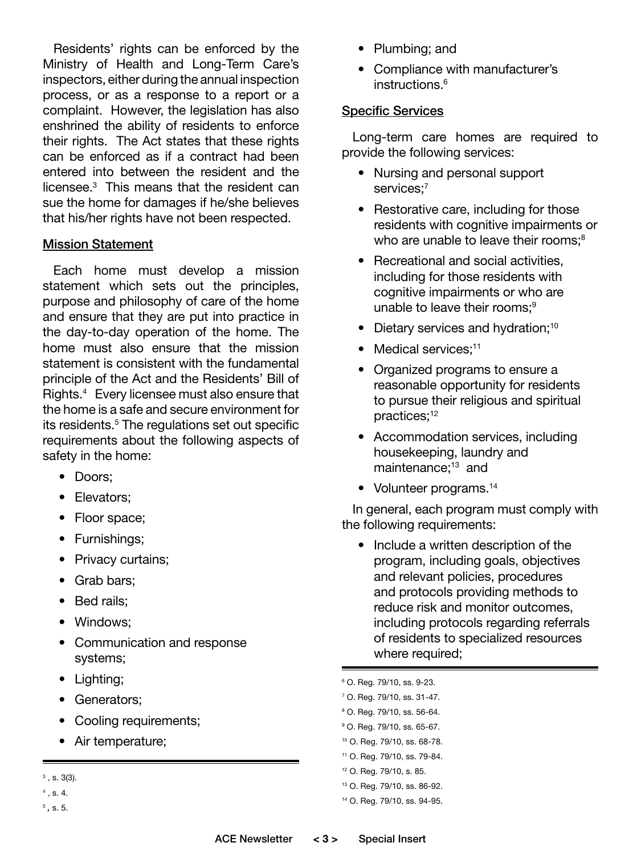Residents' rights can be enforced by the Ministry of Health and Long-Term Care's inspectors, either during the annual inspection process, or as a response to a report or a complaint. However, the legislation has also enshrined the ability of residents to enforce their rights. The Act states that these rights can be enforced as if a contract had been entered into between the resident and the licensee.3 This means that the resident can sue the home for damages if he/she believes that his/her rights have not been respected.

#### Mission Statement

Each home must develop a mission statement which sets out the principles, purpose and philosophy of care of the home and ensure that they are put into practice in the day-to-day operation of the home. The home must also ensure that the mission statement is consistent with the fundamental principle of the Act and the Residents' Bill of Rights.4 Every licensee must also ensure that the home is a safe and secure environment for its residents.<sup>5</sup> The regulations set out specific requirements about the following aspects of safety in the home:

- Doors;
- Elevators;
- Floor space;
- Furnishings;
- Privacy curtains;
- Grab bars;
- Bed rails:
- Windows;
- Communication and response systems;
- Lighting;
- Generators;
- Cooling requirements;
- Air temperature;
- $3$ , s. 3(3).
- $4$ , s. 4.
- <sup>5</sup> *,* s. 5.
- Plumbing; and
- Compliance with manufacturer's instructions.<sup>6</sup>

#### Specific Services

Long-term care homes are required to provide the following services:

- Nursing and personal support services;<sup>7</sup>
- Restorative care, including for those residents with cognitive impairments or who are unable to leave their rooms:<sup>8</sup>
- Recreational and social activities, including for those residents with cognitive impairments or who are unable to leave their rooms;<sup>9</sup>
- Dietary services and hydration;<sup>10</sup>
- Medical services:<sup>11</sup>
- Organized programs to ensure a reasonable opportunity for residents to pursue their religious and spiritual practices;12
- Accommodation services, including housekeeping, laundry and maintenance;<sup>13</sup> and
- Volunteer programs.<sup>14</sup>

In general, each program must comply with the following requirements:

- Include a written description of the program, including goals, objectives and relevant policies, procedures and protocols providing methods to reduce risk and monitor outcomes, including protocols regarding referrals of residents to specialized resources where required;
- <sup>6</sup> O. Reg. 79/10, ss. 9-23.
- 7 O. Reg. 79/10, ss. 31-47.
- <sup>8</sup> O. Reg. 79/10, ss. 56-64.
- <sup>9</sup> O. Reg. 79/10, ss. 65-67.
- <sup>10</sup> O. Reg. 79/10, ss. 68-78.
- 11 O. Reg. 79/10, ss. 79-84.
- 12 O. Reg. 79/10, s. 85.
- 13 O. Reg. 79/10, ss. 86-92.
- <sup>14</sup> O. Reg. 79/10, ss. 94-95.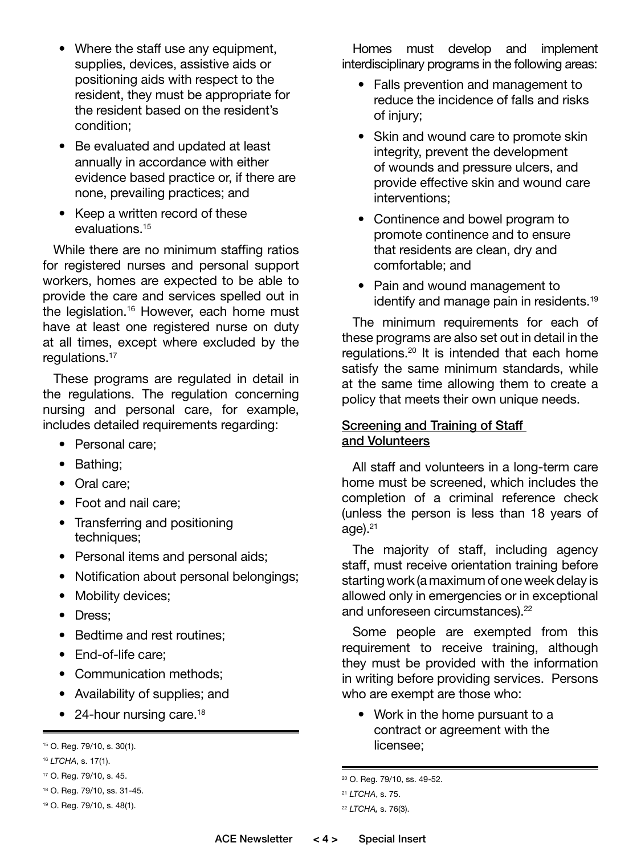- Where the staff use any equipment, supplies, devices, assistive aids or positioning aids with respect to the resident, they must be appropriate for the resident based on the resident's condition;
- Be evaluated and updated at least annually in accordance with either evidence based practice or, if there are none, prevailing practices; and
- Keep a written record of these evaluations.15

While there are no minimum staffing ratios for registered nurses and personal support workers, homes are expected to be able to provide the care and services spelled out in the legislation.<sup>16</sup> However, each home must have at least one registered nurse on duty at all times, except where excluded by the regulations.17

These programs are regulated in detail in the regulations. The regulation concerning nursing and personal care, for example, includes detailed requirements regarding:

- Personal care;
- Bathing;
- Oral care;
- Foot and nail care;
- Transferring and positioning techniques;
- Personal items and personal aids;
- Notification about personal belongings;
- Mobility devices;
- Dress:
- Bedtime and rest routines;
- End-of-life care;
- Communication methods;
- Availability of supplies; and
- 24-hour nursing care.<sup>18</sup>

Homes must develop and implement interdisciplinary programs in the following areas:

- Falls prevention and management to reduce the incidence of falls and risks of injury;
- Skin and wound care to promote skin integrity, prevent the development of wounds and pressure ulcers, and provide effective skin and wound care interventions;
- Continence and bowel program to promote continence and to ensure that residents are clean, dry and comfortable; and
- Pain and wound management to identify and manage pain in residents.<sup>19</sup>

The minimum requirements for each of these programs are also set out in detail in the regulations.20 It is intended that each home satisfy the same minimum standards, while at the same time allowing them to create a policy that meets their own unique needs.

## Screening and Training of Staff and Volunteers

All staff and volunteers in a long-term care home must be screened, which includes the completion of a criminal reference check (unless the person is less than 18 years of age). $21$ 

The majority of staff, including agency staff, must receive orientation training before starting work (a maximum of one week delay is allowed only in emergencies or in exceptional and unforeseen circumstances).<sup>22</sup>

Some people are exempted from this requirement to receive training, although they must be provided with the information in writing before providing services. Persons who are exempt are those who:

• Work in the home pursuant to a contract or agreement with the licensee;

<sup>15</sup> O. Reg. 79/10, s. 30(1).

<sup>16</sup> *LTCHA*, s. 17(1).

<sup>17</sup> O. Reg. 79/10, s. 45.

<sup>18</sup> O. Reg. 79/10, ss. 31-45.

<sup>19</sup> O. Reg. 79/10, s. 48(1).

<sup>20</sup> O. Reg. 79/10, ss. 49-52.

<sup>21</sup> *LTCHA*, s. 75.

<sup>22</sup> *LTCHA,* s. 76(3).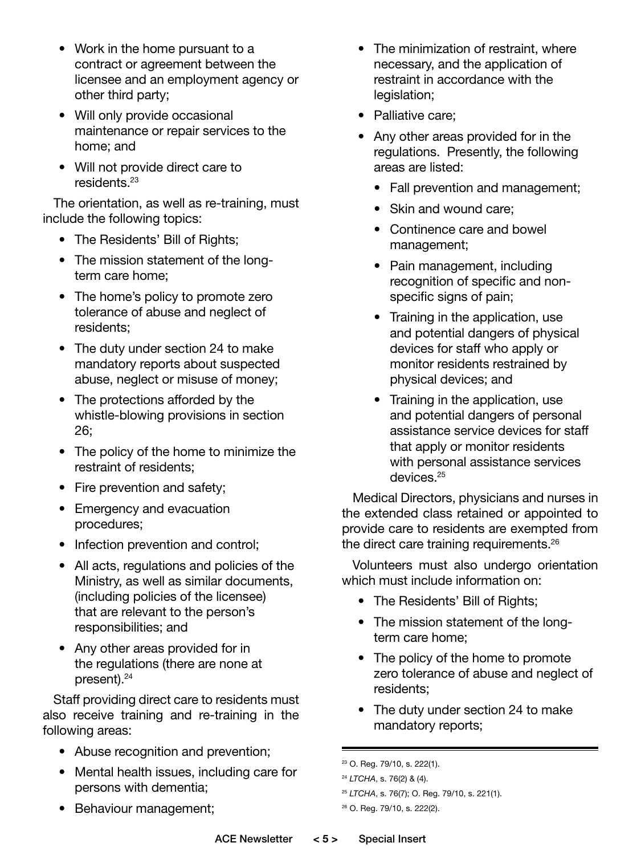- Work in the home pursuant to a contract or agreement between the licensee and an employment agency or other third party;
- Will only provide occasional maintenance or repair services to the home; and
- Will not provide direct care to residents.23

The orientation, as well as re-training, must include the following topics:

- The Residents' Bill of Rights;
- The mission statement of the longterm care home;
- The home's policy to promote zero tolerance of abuse and neglect of residents;
- The duty under section 24 to make mandatory reports about suspected abuse, neglect or misuse of money;
- The protections afforded by the whistle-blowing provisions in section 26;
- The policy of the home to minimize the restraint of residents;
- Fire prevention and safety;
- Emergency and evacuation procedures;
- Infection prevention and control;
- All acts, regulations and policies of the Ministry, as well as similar documents, (including policies of the licensee) that are relevant to the person's responsibilities; and
- Any other areas provided for in the regulations (there are none at present).24

Staff providing direct care to residents must also receive training and re-training in the following areas:

- Abuse recognition and prevention;
- Mental health issues, including care for persons with dementia;
- Behaviour management;
- The minimization of restraint, where necessary, and the application of restraint in accordance with the legislation;
- Palliative care;
- Any other areas provided for in the regulations. Presently, the following areas are listed:
	- Fall prevention and management;
	- Skin and wound care;
	- Continence care and bowel management;
	- Pain management, including recognition of specific and nonspecific signs of pain;
	- Training in the application, use and potential dangers of physical devices for staff who apply or monitor residents restrained by physical devices; and
	- Training in the application, use and potential dangers of personal assistance service devices for staff that apply or monitor residents with personal assistance services devices.<sup>25</sup>

Medical Directors, physicians and nurses in the extended class retained or appointed to provide care to residents are exempted from the direct care training requirements.<sup>26</sup>

Volunteers must also undergo orientation which must include information on:

- The Residents' Bill of Rights;
- The mission statement of the longterm care home;
- The policy of the home to promote zero tolerance of abuse and neglect of residents;
- The duty under section 24 to make mandatory reports;

<sup>23</sup> O. Reg. 79/10, s. 222(1).

<sup>24</sup> *LTCHA*, s. 76(2) & (4).

<sup>25</sup> *LTCHA*, s. 76(7); O. Reg. 79/10, s. 221(1).

<sup>26</sup> O. Reg. 79/10, s. 222(2).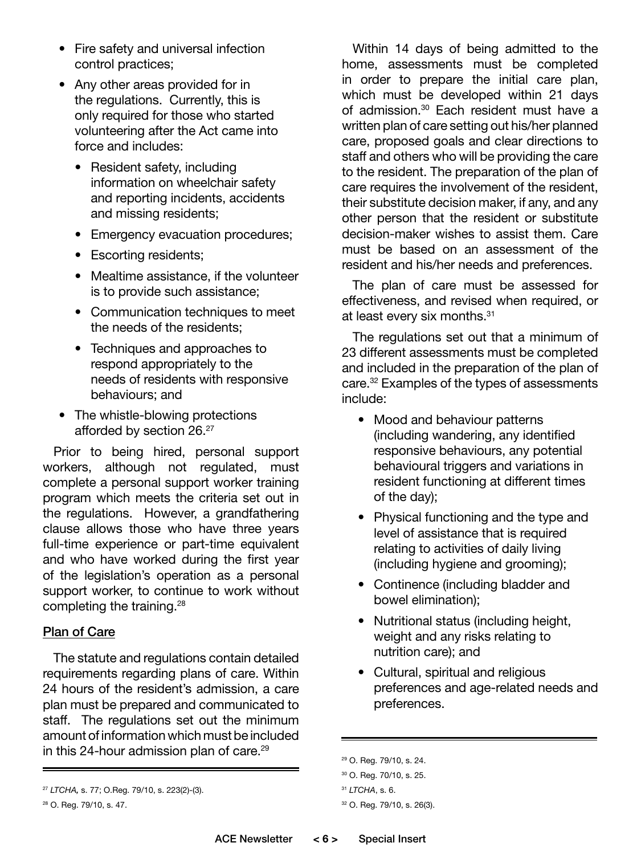- Fire safety and universal infection control practices;
- Any other areas provided for in the regulations. Currently, this is only required for those who started volunteering after the Act came into force and includes:
	- Resident safety, including information on wheelchair safety and reporting incidents, accidents and missing residents;
	- Emergency evacuation procedures;
	- Escorting residents;
	- Mealtime assistance, if the volunteer is to provide such assistance;
	- Communication techniques to meet the needs of the residents;
	- Techniques and approaches to respond appropriately to the needs of residents with responsive behaviours; and
- The whistle-blowing protections afforded by section 26.27

Prior to being hired, personal support workers, although not regulated, must complete a personal support worker training program which meets the criteria set out in the regulations. However, a grandfathering clause allows those who have three years full-time experience or part-time equivalent and who have worked during the first year of the legislation's operation as a personal support worker, to continue to work without completing the training.<sup>28</sup>

## Plan of Care

The statute and regulations contain detailed requirements regarding plans of care. Within 24 hours of the resident's admission, a care plan must be prepared and communicated to staff. The regulations set out the minimum amount of information which must be included in this 24-hour admission plan of care.<sup>29</sup>

Within 14 days of being admitted to the home, assessments must be completed in order to prepare the initial care plan, which must be developed within 21 days of admission.<sup>30</sup> Each resident must have a written plan of care setting out his/her planned care, proposed goals and clear directions to staff and others who will be providing the care to the resident. The preparation of the plan of care requires the involvement of the resident, their substitute decision maker, if any, and any other person that the resident or substitute decision-maker wishes to assist them. Care must be based on an assessment of the resident and his/her needs and preferences.

The plan of care must be assessed for effectiveness, and revised when required, or at least every six months.31

The regulations set out that a minimum of 23 different assessments must be completed and included in the preparation of the plan of care.<sup>32</sup> Examples of the types of assessments include:

- Mood and behaviour patterns (including wandering, any identified responsive behaviours, any potential behavioural triggers and variations in resident functioning at different times of the day);
- Physical functioning and the type and level of assistance that is required relating to activities of daily living (including hygiene and grooming);
- Continence (including bladder and bowel elimination);
- Nutritional status (including height, weight and any risks relating to nutrition care); and
- Cultural, spiritual and religious preferences and age-related needs and preferences.

<sup>27</sup> *LTCHA,* s. 77; O.Reg. 79/10, s. 223(2)-(3).

<sup>28</sup> O. Reg. 79/10, s. 47.

<sup>29</sup> O. Reg. 79/10, s. 24.

<sup>30</sup> O. Reg. 70/10, s. 25.

<sup>31</sup> *LTCHA*, s. 6.

<sup>32</sup> O. Reg. 79/10, s. 26(3).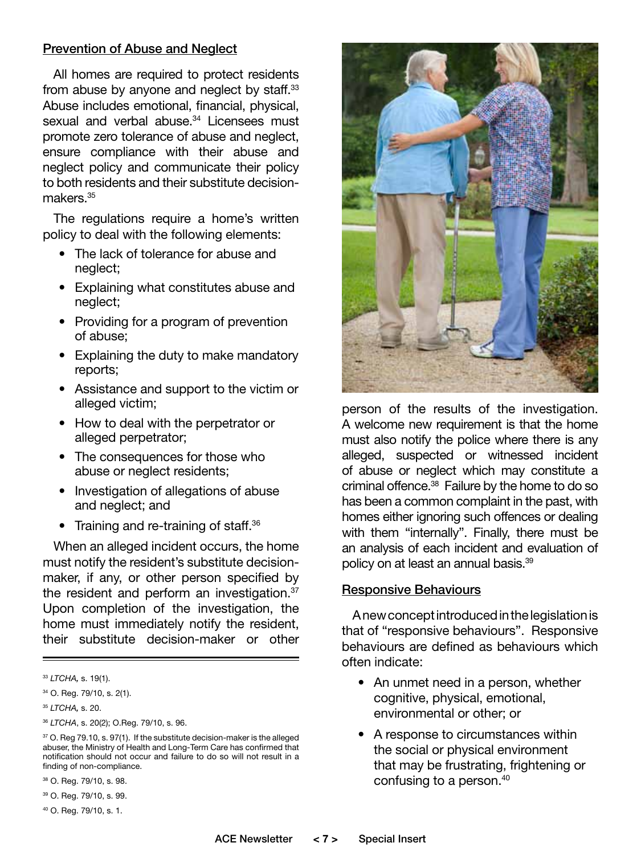#### Prevention of Abuse and Neglect

All homes are required to protect residents from abuse by anyone and neglect by staff.<sup>33</sup> Abuse includes emotional, financial, physical, sexual and verbal abuse.<sup>34</sup> Licensees must promote zero tolerance of abuse and neglect, ensure compliance with their abuse and neglect policy and communicate their policy to both residents and their substitute decisionmakers.<sup>35</sup>

The regulations require a home's written policy to deal with the following elements:

- The lack of tolerance for abuse and neglect;
- Explaining what constitutes abuse and neglect;
- Providing for a program of prevention of abuse;
- Explaining the duty to make mandatory reports;
- Assistance and support to the victim or alleged victim;
- How to deal with the perpetrator or alleged perpetrator;
- The consequences for those who abuse or neglect residents;
- Investigation of allegations of abuse and neglect; and
- Training and re-training of staff.<sup>36</sup>

When an alleged incident occurs, the home must notify the resident's substitute decisionmaker, if any, or other person specified by the resident and perform an investigation.<sup>37</sup> Upon completion of the investigation, the home must immediately notify the resident, their substitute decision-maker or other

38 O. Reg. 79/10, s. 98.

39 O. Reg. 79/10, s. 99.



person of the results of the investigation. A welcome new requirement is that the home must also notify the police where there is any alleged, suspected or witnessed incident of abuse or neglect which may constitute a criminal offence.38 Failure by the home to do so has been a common complaint in the past, with homes either ignoring such offences or dealing with them "internally". Finally, there must be an analysis of each incident and evaluation of policy on at least an annual basis.39

#### Responsive Behaviours

A new concept introduced in the legislation is that of "responsive behaviours". Responsive behaviours are defined as behaviours which often indicate:

- An unmet need in a person, whether cognitive, physical, emotional, environmental or other; or
- A response to circumstances within the social or physical environment that may be frustrating, frightening or confusing to a person.40

<sup>33</sup> *LTCHA,* s. 19(1).

<sup>34</sup> O. Reg. 79/10, s. 2(1).

<sup>35</sup> *LTCHA,* s. 20.

<sup>36</sup> *LTCHA*, s. 20(2); O.Reg. 79/10, s. 96.

<sup>&</sup>lt;sup>37</sup> O. Reg 79.10, s. 97(1). If the substitute decision-maker is the alleged abuser, the Ministry of Health and Long-Term Care has confirmed that notification should not occur and failure to do so will not result in a finding of non-compliance.

<sup>40</sup> O. Reg. 79/10, s. 1.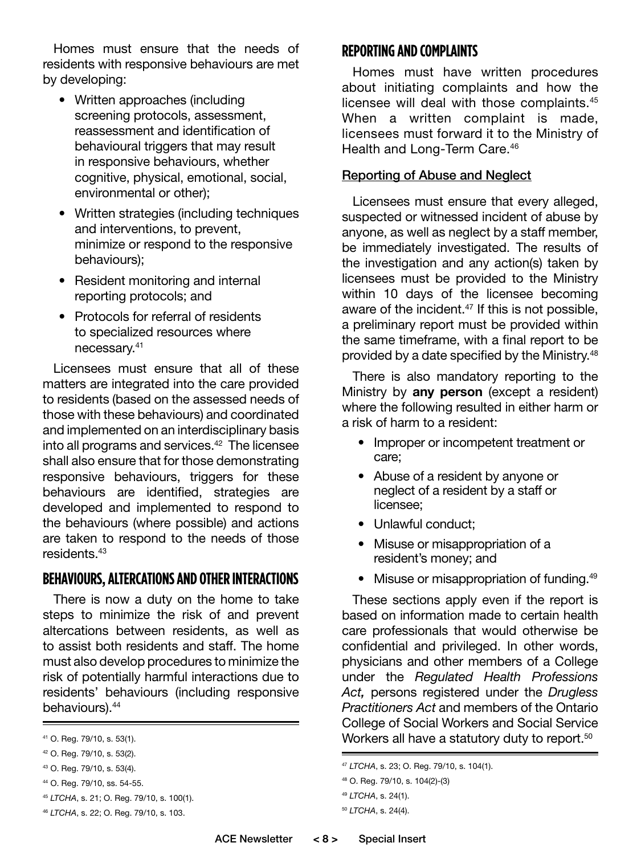Homes must ensure that the needs of residents with responsive behaviours are met by developing:

- Written approaches (including screening protocols, assessment, reassessment and identification of behavioural triggers that may result in responsive behaviours, whether cognitive, physical, emotional, social, environmental or other);
- Written strategies (including techniques and interventions, to prevent, minimize or respond to the responsive behaviours);
- Resident monitoring and internal reporting protocols; and
- Protocols for referral of residents to specialized resources where necessary.41

Licensees must ensure that all of these matters are integrated into the care provided to residents (based on the assessed needs of those with these behaviours) and coordinated and implemented on an interdisciplinary basis into all programs and services.<sup>42</sup> The licensee shall also ensure that for those demonstrating responsive behaviours, triggers for these behaviours are identified, strategies are developed and implemented to respond to the behaviours (where possible) and actions are taken to respond to the needs of those residents.43

## **BEHAVIOURS, ALTERCATIONS AND OTHER INTERACTIONS**

There is now a duty on the home to take steps to minimize the risk of and prevent altercations between residents, as well as to assist both residents and staff. The home must also develop procedures to minimize the risk of potentially harmful interactions due to residents' behaviours (including responsive behaviours).44

## **REPORTING AND COMPLAINTS**

Homes must have written procedures about initiating complaints and how the licensee will deal with those complaints.45 When a written complaint is made, licensees must forward it to the Ministry of Health and Long-Term Care.<sup>46</sup>

#### Reporting of Abuse and Neglect

Licensees must ensure that every alleged, suspected or witnessed incident of abuse by anyone, as well as neglect by a staff member, be immediately investigated. The results of the investigation and any action(s) taken by licensees must be provided to the Ministry within 10 days of the licensee becoming aware of the incident.<sup>47</sup> If this is not possible, a preliminary report must be provided within the same timeframe, with a final report to be provided by a date specified by the Ministry.<sup>48</sup>

There is also mandatory reporting to the Ministry by **any person** (except a resident) where the following resulted in either harm or a risk of harm to a resident:

- Improper or incompetent treatment or care;
- Abuse of a resident by anyone or neglect of a resident by a staff or licensee;
- Unlawful conduct;
- Misuse or misappropriation of a resident's money; and
- Misuse or misappropriation of funding.<sup>49</sup>

These sections apply even if the report is based on information made to certain health care professionals that would otherwise be confidential and privileged. In other words, physicians and other members of a College under the *Regulated Health Professions Act,* persons registered under the *Drugless Practitioners Act* and members of the Ontario College of Social Workers and Social Service  $\mu$  o. Reg. 79/10, s. 53(1). The statute of the statute of  $\mu$  or  $\mu$  or  $\mu$  or  $\mu$  or  $\mu$  or  $\mu$  or  $\mu$  or  $\mu$  or  $\mu$  or  $\mu$  or  $\mu$  or  $\mu$  or  $\mu$  or  $\mu$  or  $\mu$  or  $\mu$  or  $\mu$  or  $\mu$  or  $\mu$  or  $\mu$  or

<sup>42</sup> O. Reg. 79/10, s. 53(2).

<sup>43</sup> O. Reg. 79/10, s. 53(4).

<sup>44</sup> O. Reg. 79/10, ss. 54-55.

<sup>45</sup> *LTCHA*, s. 21; O. Reg. 79/10, s. 100(1).

<sup>46</sup> *LTCHA*, s. 22; O. Reg. 79/10, s. 103.

<sup>47</sup> *LTCHA*, s. 23; O. Reg. 79/10, s. 104(1).

<sup>48</sup> O. Reg. 79/10, s. 104(2)-(3)

<sup>49</sup> *LTCHA*, s. 24(1).

<sup>50</sup> *LTCHA*, s. 24(4).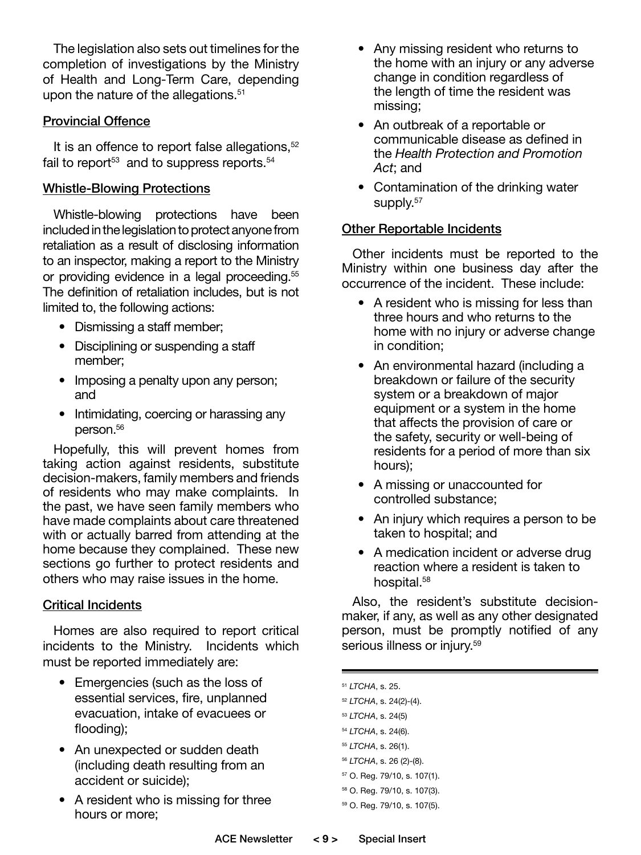The legislation also sets out timelines for the completion of investigations by the Ministry of Health and Long-Term Care, depending upon the nature of the allegations.<sup>51</sup>

## Provincial Offence

It is an offence to report false allegations,<sup>52</sup> fail to report $53$  and to suppress reports.  $54$ 

## Whistle-Blowing Protections

Whistle-blowing protections have been included in the legislation to protect anyone from retaliation as a result of disclosing information to an inspector, making a report to the Ministry or providing evidence in a legal proceeding.<sup>55</sup> The definition of retaliation includes, but is not limited to, the following actions:

- Dismissing a staff member;
- Disciplining or suspending a staff member;
- Imposing a penalty upon any person; and
- Intimidating, coercing or harassing any person.<sup>56</sup>

Hopefully, this will prevent homes from taking action against residents, substitute decision-makers, family members and friends of residents who may make complaints. In the past, we have seen family members who have made complaints about care threatened with or actually barred from attending at the home because they complained. These new sections go further to protect residents and others who may raise issues in the home.

## Critical Incidents

Homes are also required to report critical incidents to the Ministry. Incidents which must be reported immediately are:

- Emergencies (such as the loss of essential services, fire, unplanned evacuation, intake of evacuees or flooding);
- An unexpected or sudden death (including death resulting from an accident or suicide);
- A resident who is missing for three hours or more;
- Any missing resident who returns to the home with an injury or any adverse change in condition regardless of the length of time the resident was missing;
- An outbreak of a reportable or communicable disease as defined in the *Health Protection and Promotion Act*; and
- Contamination of the drinking water supply.<sup>57</sup>

## Other Reportable Incidents

Other incidents must be reported to the Ministry within one business day after the occurrence of the incident. These include:

- A resident who is missing for less than three hours and who returns to the home with no injury or adverse change in condition;
- An environmental hazard (including a breakdown or failure of the security system or a breakdown of major equipment or a system in the home that affects the provision of care or the safety, security or well-being of residents for a period of more than six hours);
- A missing or unaccounted for controlled substance;
- An injury which requires a person to be taken to hospital; and
- A medication incident or adverse drug reaction where a resident is taken to hospital.<sup>58</sup>

Also, the resident's substitute decisionmaker, if any, as well as any other designated person, must be promptly notified of any serious illness or injury.<sup>59</sup>

 *LTCHA*, s. 25. *LTCHA*, s. 24(2)-(4). *LTCHA*, s. 24(5) *LTCHA*, s. 24(6). *LTCHA*, s. 26(1). *LTCHA*, s. 26 (2)-(8). 57 O. Reg. 79/10, s. 107(1). 58 O. Reg. 79/10, s. 107(3). 59 O. Reg. 79/10, s. 107(5).

ACE Newsletter **< 8 >** Special Insert ACE Newsletter **< 9 >** Special Insert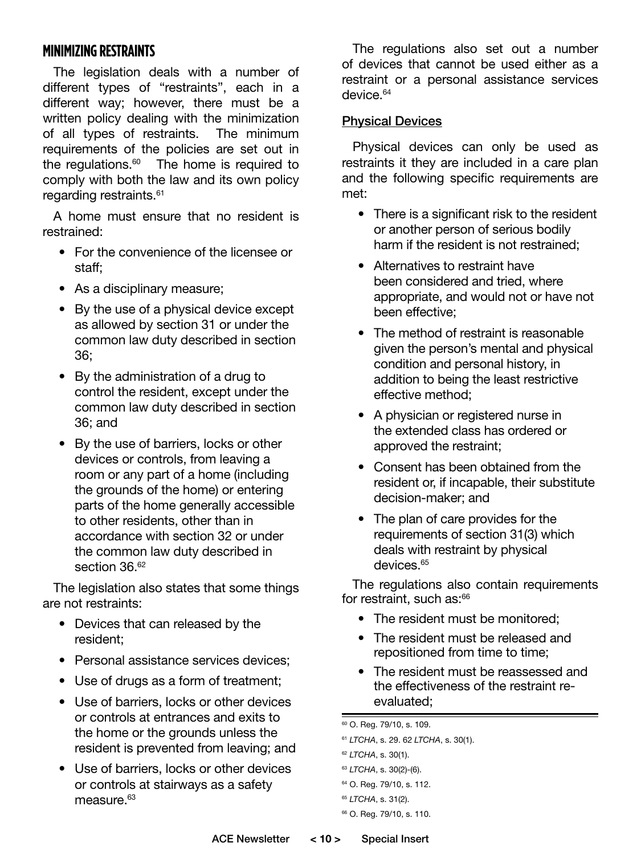## **MINIMIZING RESTRAINTS**

The legislation deals with a number of different types of "restraints", each in a different way; however, there must be a written policy dealing with the minimization of all types of restraints. The minimum requirements of the policies are set out in the regulations. $60$  The home is required to comply with both the law and its own policy regarding restraints.<sup>61</sup>

A home must ensure that no resident is restrained:

- For the convenience of the licensee or staff;
- As a disciplinary measure;
- By the use of a physical device except as allowed by section 31 or under the common law duty described in section 36;
- By the administration of a drug to control the resident, except under the common law duty described in section 36; and
- By the use of barriers, locks or other devices or controls, from leaving a room or any part of a home (including the grounds of the home) or entering parts of the home generally accessible to other residents, other than in accordance with section 32 or under the common law duty described in section 36.<sup>62</sup>

The legislation also states that some things are not restraints:

- Devices that can released by the resident;
- Personal assistance services devices;
- Use of drugs as a form of treatment;
- Use of barriers, locks or other devices or controls at entrances and exits to the home or the grounds unless the resident is prevented from leaving; and
- Use of barriers, locks or other devices or controls at stairways as a safety measure.<sup>63</sup>

The regulations also set out a number of devices that cannot be used either as a restraint or a personal assistance services device.<sup>64</sup>

## Physical Devices

Physical devices can only be used as restraints it they are included in a care plan and the following specific requirements are met:

- There is a significant risk to the resident or another person of serious bodily harm if the resident is not restrained;
- Alternatives to restraint have been considered and tried, where appropriate, and would not or have not been effective;
- The method of restraint is reasonable given the person's mental and physical condition and personal history, in addition to being the least restrictive effective method;
- A physician or registered nurse in the extended class has ordered or approved the restraint;
- Consent has been obtained from the resident or, if incapable, their substitute decision-maker; and
- The plan of care provides for the requirements of section 31(3) which deals with restraint by physical devices.<sup>65</sup>

The regulations also contain requirements for restraint, such as:<sup>66</sup>

- The resident must be monitored;
- The resident must be released and repositioned from time to time;
- The resident must be reassessed and the effectiveness of the restraint reevaluated;

60 O. Reg. 79/10, s. 109.

```
61 LTCHA, s. 29. 62 LTCHA, s. 30(1).
62 LTCHA, s. 30(1).
63 LTCHA, s. 30(2)-(6).
64 O. Reg. 79/10, s. 112.
```

```
65 LTCHA, s. 31(2).
66 O. Reg. 79/10, s. 110.
```
ACE Newsletter **< 10 >** Special Insert ACE Newsletter **< 11 >** Special Insert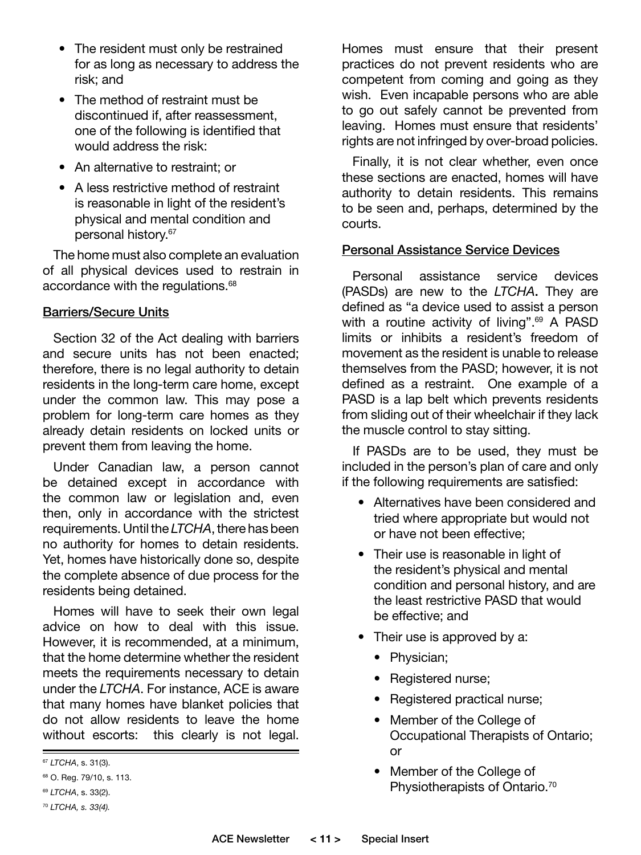- The resident must only be restrained for as long as necessary to address the risk; and
- The method of restraint must be discontinued if, after reassessment, one of the following is identified that would address the risk:
- An alternative to restraint; or
- A less restrictive method of restraint is reasonable in light of the resident's physical and mental condition and personal history.67

The home must also complete an evaluation of all physical devices used to restrain in accordance with the regulations.<sup>68</sup>

#### Barriers/Secure Units

Section 32 of the Act dealing with barriers and secure units has not been enacted; therefore, there is no legal authority to detain residents in the long-term care home, except under the common law. This may pose a problem for long-term care homes as they already detain residents on locked units or prevent them from leaving the home.

Under Canadian law, a person cannot be detained except in accordance with the common law or legislation and, even then, only in accordance with the strictest requirements. Until the *LTCHA*, there has been no authority for homes to detain residents. Yet, homes have historically done so, despite the complete absence of due process for the residents being detained.

Homes will have to seek their own legal advice on how to deal with this issue. However, it is recommended, at a minimum, that the home determine whether the resident meets the requirements necessary to detain under the *LTCHA*. For instance, ACE is aware that many homes have blanket policies that do not allow residents to leave the home without escorts: this clearly is not legal.

Homes must ensure that their present practices do not prevent residents who are competent from coming and going as they wish. Even incapable persons who are able to go out safely cannot be prevented from leaving. Homes must ensure that residents' rights are not infringed by over-broad policies.

Finally, it is not clear whether, even once these sections are enacted, homes will have authority to detain residents. This remains to be seen and, perhaps, determined by the courts.

#### Personal Assistance Service Devices

Personal assistance service devices (PASDs) are new to the *LTCHA*. They are defined as "a device used to assist a person with a routine activity of living".<sup>69</sup> A PASD limits or inhibits a resident's freedom of movement as the resident is unable to release themselves from the PASD; however, it is not defined as a restraint. One example of a PASD is a lap belt which prevents residents from sliding out of their wheelchair if they lack the muscle control to stay sitting.

If PASDs are to be used, they must be included in the person's plan of care and only if the following requirements are satisfied:

- Alternatives have been considered and tried where appropriate but would not or have not been effective;
- Their use is reasonable in light of the resident's physical and mental condition and personal history, and are the least restrictive PASD that would be effective; and
- Their use is approved by a:
	- Physician;
	- Registered nurse;
	- Registered practical nurse;
	- Member of the College of Occupational Therapists of Ontario; or
	- Member of the College of Physiotherapists of Ontario.<sup>70</sup>

<sup>67</sup> *LTCHA*, s. 31(3).

<sup>68</sup> O. Reg. 79/10, s. 113.

<sup>69</sup> *LTCHA*, s. 33(2).

<sup>70</sup> *LTCHA, s. 33(4).*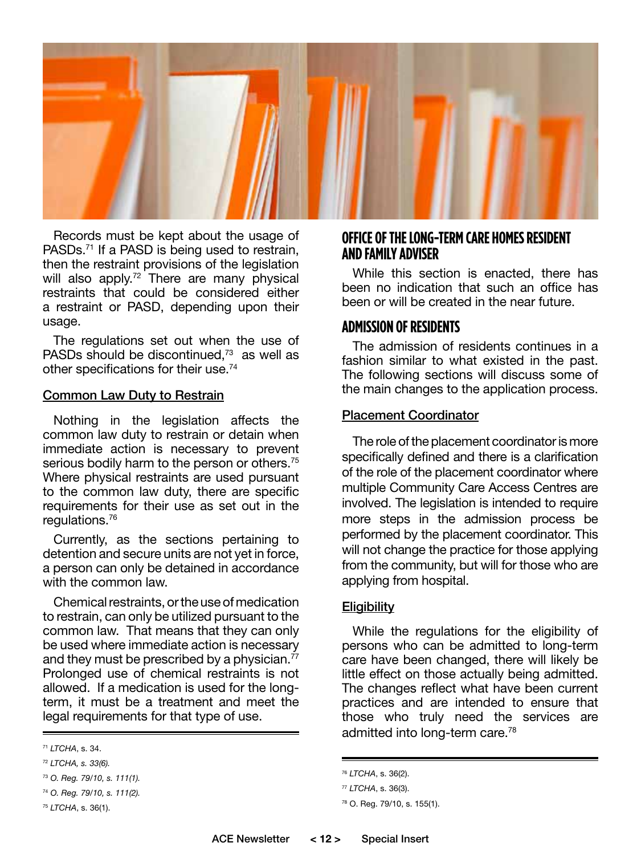

Records must be kept about the usage of PASDs.<sup>71</sup> If a PASD is being used to restrain, then the restraint provisions of the legislation will also apply.<sup>72</sup> There are many physical restraints that could be considered either a restraint or PASD, depending upon their usage.

The regulations set out when the use of PASDs should be discontinued.<sup>73</sup> as well as other specifications for their use.74

#### Common Law Duty to Restrain

Nothing in the legislation affects the common law duty to restrain or detain when immediate action is necessary to prevent serious bodily harm to the person or others.<sup>75</sup> Where physical restraints are used pursuant to the common law duty, there are specific requirements for their use as set out in the regulations.76

Currently, as the sections pertaining to detention and secure units are not yet in force, a person can only be detained in accordance with the common law.

Chemical restraints, or the use of medication to restrain, can only be utilized pursuant to the common law. That means that they can only be used where immediate action is necessary and they must be prescribed by a physician. $^{77}$ Prolonged use of chemical restraints is not allowed. If a medication is used for the longterm, it must be a treatment and meet the legal requirements for that type of use.

#### **OFFICE OF THE LONG-TERM CARE HOMES RESIDENT AND FAMILY ADVISER**

While this section is enacted, there has been no indication that such an office has been or will be created in the near future.

#### **ADMISSION OF RESIDENTS**

The admission of residents continues in a fashion similar to what existed in the past. The following sections will discuss some of the main changes to the application process.

#### Placement Coordinator

The role of the placement coordinator is more specifically defined and there is a clarification of the role of the placement coordinator where multiple Community Care Access Centres are involved. The legislation is intended to require more steps in the admission process be performed by the placement coordinator. This will not change the practice for those applying from the community, but will for those who are applying from hospital.

#### **Eligibility**

While the regulations for the eligibility of persons who can be admitted to long-term care have been changed, there will likely be little effect on those actually being admitted. The changes reflect what have been current practices and are intended to ensure that those who truly need the services are admitted into long-term care.<sup>78</sup>

<sup>71</sup> *LTCHA*, s. 34.

<sup>72</sup> *LTCHA, s. 33(6).*

<sup>73</sup> *O. Reg. 79/10, s. 111(1).*

<sup>74</sup> *O. Reg. 79/10, s. 111(2).*

<sup>75</sup> *LTCHA*, s. 36(1).

<sup>76</sup> *LTCHA*, s. 36(2).

<sup>77</sup> *LTCHA*, s. 36(3).

<sup>78</sup> O. Reg. 79/10, s. 155(1).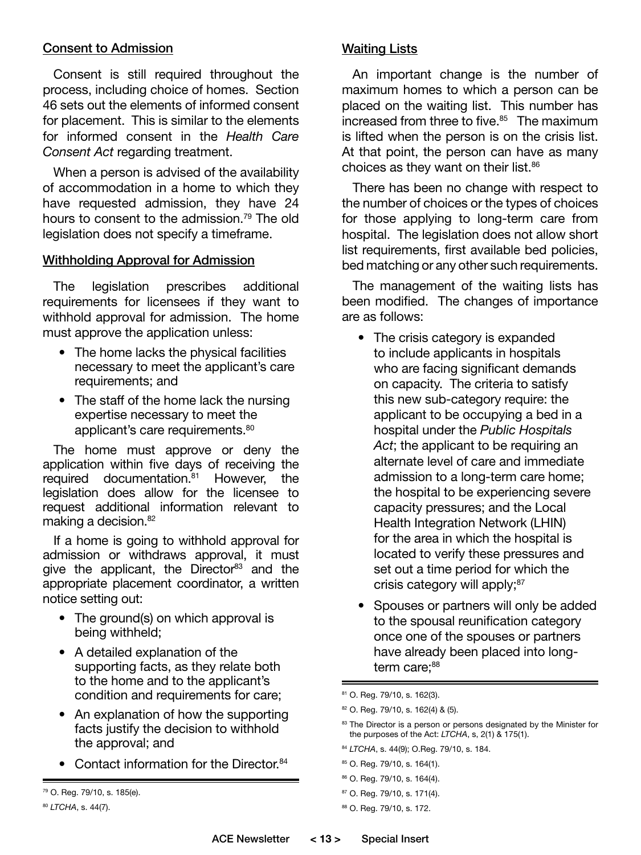#### Consent to Admission

Consent is still required throughout the process, including choice of homes. Section 46 sets out the elements of informed consent for placement. This is similar to the elements for informed consent in the *Health Care Consent Act* regarding treatment.

When a person is advised of the availability of accommodation in a home to which they have requested admission, they have 24 hours to consent to the admission.<sup>79</sup> The old legislation does not specify a timeframe.

#### Withholding Approval for Admission

The legislation prescribes additional requirements for licensees if they want to withhold approval for admission. The home must approve the application unless:

- The home lacks the physical facilities necessary to meet the applicant's care requirements; and
- The staff of the home lack the nursing expertise necessary to meet the applicant's care requirements.<sup>80</sup>

The home must approve or deny the application within five days of receiving the required documentation.<sup>81</sup> However, the legislation does allow for the licensee to request additional information relevant to making a decision.<sup>82</sup>

If a home is going to withhold approval for admission or withdraws approval, it must give the applicant, the Director<sup>83</sup> and the appropriate placement coordinator, a written notice setting out:

- The ground(s) on which approval is being withheld;
- A detailed explanation of the supporting facts, as they relate both to the home and to the applicant's condition and requirements for care;
- An explanation of how the supporting facts justify the decision to withhold the approval; and
- Contact information for the Director.<sup>84</sup>

## Waiting Lists

An important change is the number of maximum homes to which a person can be placed on the waiting list. This number has increased from three to five.<sup>85</sup> The maximum is lifted when the person is on the crisis list. At that point, the person can have as many choices as they want on their list.<sup>86</sup>

There has been no change with respect to the number of choices or the types of choices for those applying to long-term care from hospital. The legislation does not allow short list requirements, first available bed policies, bed matching or any other such requirements.

The management of the waiting lists has been modified. The changes of importance are as follows:

- The crisis category is expanded to include applicants in hospitals who are facing significant demands on capacity. The criteria to satisfy this new sub-category require: the applicant to be occupying a bed in a hospital under the *Public Hospitals Act*; the applicant to be requiring an alternate level of care and immediate admission to a long-term care home; the hospital to be experiencing severe capacity pressures; and the Local Health Integration Network (LHIN) for the area in which the hospital is located to verify these pressures and set out a time period for which the crisis category will apply;<sup>87</sup>
- Spouses or partners will only be added to the spousal reunification category once one of the spouses or partners have already been placed into longterm care:<sup>88</sup>

- <sup>84</sup> *LTCHA*, s. 44(9); O.Reg. 79/10, s. 184.
- 85 O. Reg. 79/10, s. 164(1).
- 86 O. Reg. 79/10, s. 164(4).
- 87 O. Reg. 79/10, s. 171(4).
- 88 O. Reg. 79/10, s. 172.

<sup>79</sup> O. Reg. 79/10, s. 185(e).

<sup>80</sup> *LTCHA*, s. 44(7).

<sup>81</sup> O. Reg. 79/10, s. 162(3).

<sup>82</sup> O. Reg. 79/10, s. 162(4) & (5).

<sup>83</sup> The Director is a person or persons designated by the Minister for the purposes of the Act: *LTCHA*, s, 2(1) & 175(1).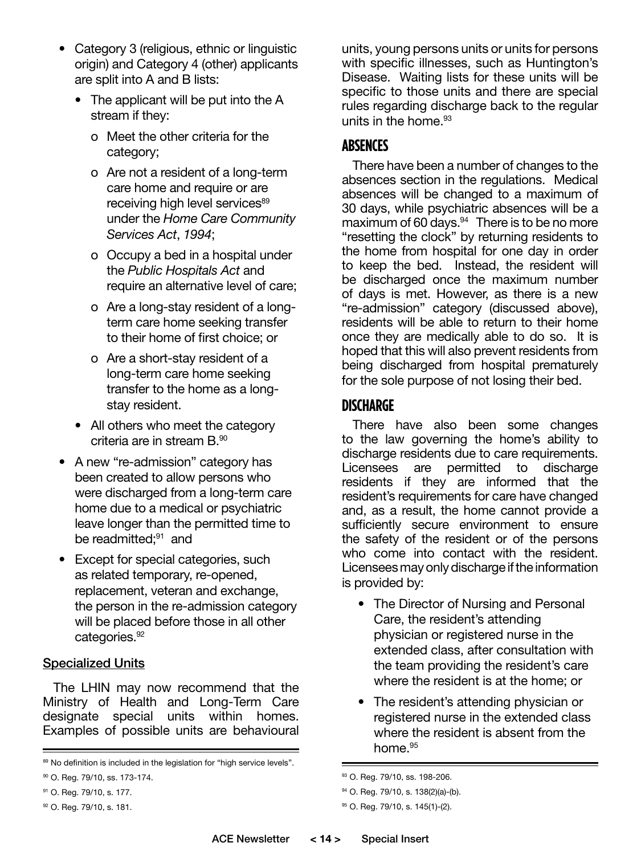- Category 3 (religious, ethnic or linguistic origin) and Category 4 (other) applicants are split into A and B lists:
	- The applicant will be put into the A stream if they:
		- o Meet the other criteria for the category;
		- o Are not a resident of a long-term care home and require or are receiving high level services<sup>89</sup> under the *Home Care Community Services Act*, *1994*;
		- o Occupy a bed in a hospital under the *Public Hospitals Act* and require an alternative level of care;
		- o Are a long-stay resident of a longterm care home seeking transfer to their home of first choice; or
		- o Are a short-stay resident of a long-term care home seeking transfer to the home as a longstay resident.
	- All others who meet the category criteria are in stream B.90
- A new "re-admission" category has been created to allow persons who were discharged from a long-term care home due to a medical or psychiatric leave longer than the permitted time to be readmitted:<sup>91</sup> and
- Except for special categories, such as related temporary, re-opened, replacement, veteran and exchange, the person in the re-admission category will be placed before those in all other categories.<sup>92</sup>

#### Specialized Units

The LHIN may now recommend that the Ministry of Health and Long-Term Care designate special units within homes. Examples of possible units are behavioural

units, young persons units or units for persons with specific illnesses, such as Huntington's Disease. Waiting lists for these units will be specific to those units and there are special rules regarding discharge back to the regular units in the home.93

## **ABSENCES**

There have been a number of changes to the absences section in the regulations. Medical absences will be changed to a maximum of 30 days, while psychiatric absences will be a maximum of 60 days. $94$  There is to be no more "resetting the clock" by returning residents to the home from hospital for one day in order to keep the bed. Instead, the resident will be discharged once the maximum number of days is met. However, as there is a new "re-admission" category (discussed above), residents will be able to return to their home once they are medically able to do so. It is hoped that this will also prevent residents from being discharged from hospital prematurely for the sole purpose of not losing their bed.

## **DISCHARGE**

There have also been some changes to the law governing the home's ability to discharge residents due to care requirements. Licensees are permitted to discharge residents if they are informed that the resident's requirements for care have changed and, as a result, the home cannot provide a sufficiently secure environment to ensure the safety of the resident or of the persons who come into contact with the resident. Licensees may only discharge if the information is provided by:

- The Director of Nursing and Personal Care, the resident's attending physician or registered nurse in the extended class, after consultation with the team providing the resident's care where the resident is at the home; or
- The resident's attending physician or registered nurse in the extended class where the resident is absent from the home.<sup>95</sup>

<sup>89</sup> No definition is included in the legislation for "high service levels".

<sup>90</sup> O. Reg. 79/10, ss. 173-174.

<sup>91</sup> O. Reg. 79/10, s. 177.

<sup>92</sup> O. Reg. 79/10, s. 181.

<sup>93</sup> O. Reg. 79/10, ss. 198-206.

<sup>94</sup> O. Reg. 79/10, s. 138(2)(a)-(b).

<sup>95</sup> O. Reg. 79/10, s. 145(1)-(2).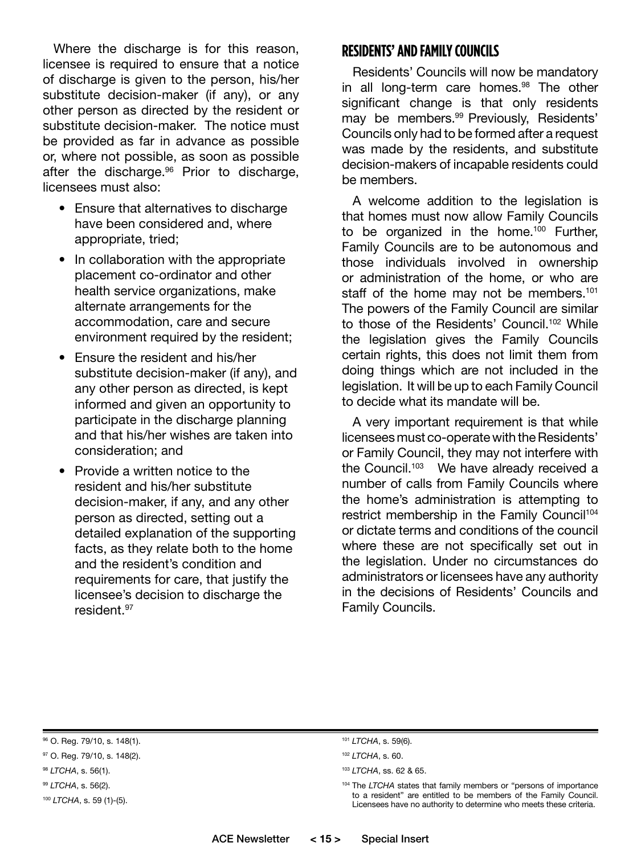Where the discharge is for this reason, licensee is required to ensure that a notice of discharge is given to the person, his/her substitute decision-maker (if any), or any other person as directed by the resident or substitute decision-maker. The notice must be provided as far in advance as possible or, where not possible, as soon as possible after the discharge.<sup>96</sup> Prior to discharge, licensees must also:

- Ensure that alternatives to discharge have been considered and, where appropriate, tried;
- In collaboration with the appropriate placement co-ordinator and other health service organizations, make alternate arrangements for the accommodation, care and secure environment required by the resident;
- Ensure the resident and his/her substitute decision-maker (if any), and any other person as directed, is kept informed and given an opportunity to participate in the discharge planning and that his/her wishes are taken into consideration; and
- Provide a written notice to the resident and his/her substitute decision-maker, if any, and any other person as directed, setting out a detailed explanation of the supporting facts, as they relate both to the home and the resident's condition and requirements for care, that justify the licensee's decision to discharge the resident.97

## **RESIDENTS' AND FAMILY COUNCILS**

Residents' Councils will now be mandatory in all long-term care homes.<sup>98</sup> The other significant change is that only residents may be members.<sup>99</sup> Previously, Residents' Councils only had to be formed after a request was made by the residents, and substitute decision-makers of incapable residents could be members.

A welcome addition to the legislation is that homes must now allow Family Councils to be organized in the home.<sup>100</sup> Further, Family Councils are to be autonomous and those individuals involved in ownership or administration of the home, or who are staff of the home may not be members.<sup>101</sup> The powers of the Family Council are similar to those of the Residents' Council.<sup>102</sup> While the legislation gives the Family Councils certain rights, this does not limit them from doing things which are not included in the legislation. It will be up to each Family Council to decide what its mandate will be.

A very important requirement is that while licensees must co-operate with the Residents' or Family Council, they may not interfere with the Council.<sup>103</sup> We have already received a number of calls from Family Councils where the home's administration is attempting to restrict membership in the Family Council<sup>104</sup> or dictate terms and conditions of the council where these are not specifically set out in the legislation. Under no circumstances do administrators or licensees have any authority in the decisions of Residents' Councils and Family Councils.

<sup>104</sup> The *LTCHA* states that family members or "persons of importance to a resident" are entitled to be members of the Family Council. Licensees have no authority to determine who meets these criteria.

<sup>96</sup> O. Reg. 79/10, s. 148(1).

<sup>97</sup> O. Reg. 79/10, s. 148(2).

<sup>98</sup> *LTCHA*, s. 56(1).

<sup>99</sup> *LTCHA*, s. 56(2).

<sup>100</sup> *LTCHA*, s. 59 (1)-(5).

<sup>101</sup> *LTCHA*, s. 59(6).

<sup>102</sup> *LTCHA*, s. 60.

<sup>103</sup> *LTCHA*, ss. 62 & 65.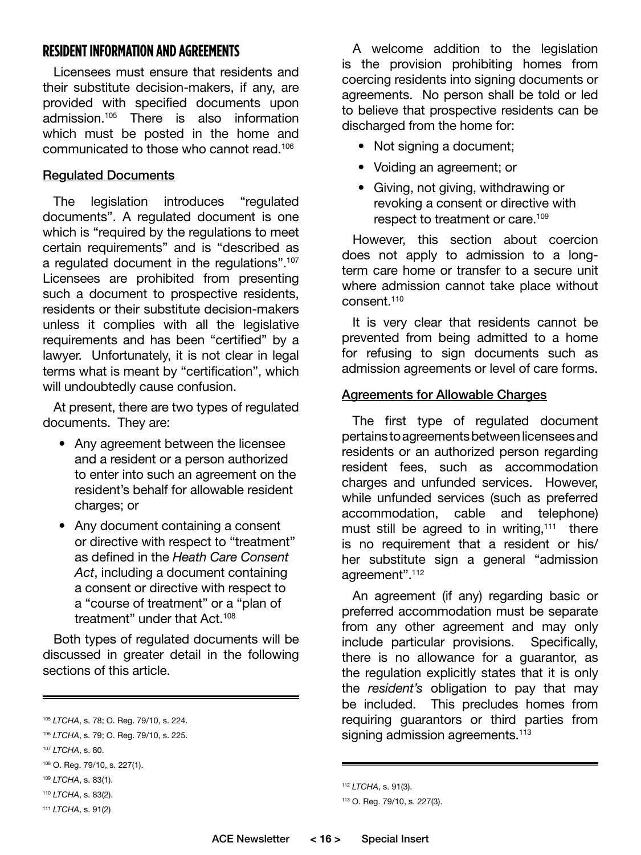## **RESIDENT INFORMATION AND AGREEMENTS**

Licensees must ensure that residents and their substitute decision-makers, if any, are provided with specified documents upon admission.105 There is also information which must be posted in the home and communicated to those who cannot read.106

## Regulated Documents

The legislation introduces "regulated documents". A regulated document is one which is "required by the regulations to meet certain requirements" and is "described as a regulated document in the regulations".<sup>107</sup> Licensees are prohibited from presenting such a document to prospective residents, residents or their substitute decision-makers unless it complies with all the legislative requirements and has been "certified" by a lawyer. Unfortunately, it is not clear in legal terms what is meant by "certification", which will undoubtedly cause confusion.

At present, there are two types of regulated documents. They are:

- Any agreement between the licensee and a resident or a person authorized to enter into such an agreement on the resident's behalf for allowable resident charges; or
- Any document containing a consent or directive with respect to "treatment" as defined in the *Heath Care Consent Act*, including a document containing a consent or directive with respect to a "course of treatment" or a "plan of treatment" under that Act.<sup>108</sup>

Both types of regulated documents will be discussed in greater detail in the following sections of this article.

A welcome addition to the legislation is the provision prohibiting homes from coercing residents into signing documents or agreements. No person shall be told or led to believe that prospective residents can be discharged from the home for:

- Not signing a document;
- Voiding an agreement; or
- Giving, not giving, withdrawing or revoking a consent or directive with respect to treatment or care.109

However, this section about coercion does not apply to admission to a longterm care home or transfer to a secure unit where admission cannot take place without consent.<sup>110</sup>

It is very clear that residents cannot be prevented from being admitted to a home for refusing to sign documents such as admission agreements or level of care forms.

#### Agreements for Allowable Charges

The first type of regulated document pertains to agreements between licensees and residents or an authorized person regarding resident fees, such as accommodation charges and unfunded services. However, while unfunded services (such as preferred accommodation, cable and telephone) must still be agreed to in writing,<sup>111</sup> there is no requirement that a resident or his/ her substitute sign a general "admission agreement".112

An agreement (if any) regarding basic or preferred accommodation must be separate from any other agreement and may only include particular provisions. Specifically, there is no allowance for a guarantor, as the regulation explicitly states that it is only the *resident's* obligation to pay that may be included. This precludes homes from requiring guarantors or third parties from signing admission agreements.<sup>113</sup>

<sup>105</sup> *LTCHA*, s. 78; O. Reg. 79/10, s. 224.

<sup>106</sup> *LTCHA*, s. 79; O. Reg. 79/10, s. 225.

<sup>107</sup> *LTCHA*, s. 80.

<sup>108</sup> O. Reg. 79/10, s. 227(1).

<sup>109</sup> *LTCHA*, s. 83(1).

<sup>110</sup> *LTCHA*, s. 83(2).

<sup>111</sup> *LTCHA*, s. 91(2)

<sup>112</sup> *LTCHA*, s. 91(3).

<sup>113</sup> O. Reg. 79/10, s. 227(3).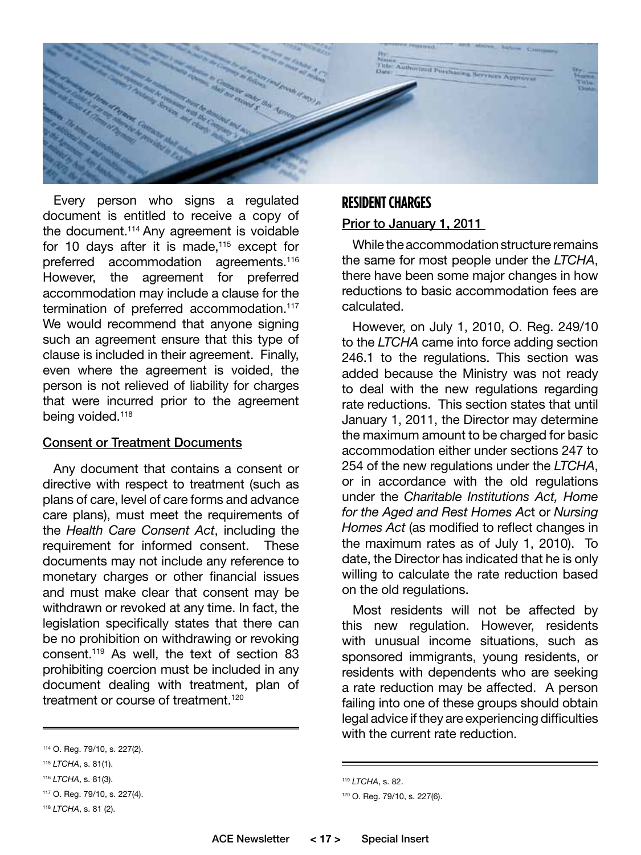

Every person who signs a regulated document is entitled to receive a copy of the document.<sup>114</sup> Any agreement is voidable for 10 days after it is made, $115$  except for preferred accommodation agreements.<sup>116</sup> However, the agreement for preferred accommodation may include a clause for the termination of preferred accommodation.<sup>117</sup> We would recommend that anyone signing such an agreement ensure that this type of clause is included in their agreement. Finally, even where the agreement is voided, the person is not relieved of liability for charges that were incurred prior to the agreement being voided.<sup>118</sup>

#### **Consent or Treatment Documents**

Any document that contains a consent or directive with respect to treatment (such as plans of care, level of care forms and advance care plans), must meet the requirements of the *Health Care Consent Act*, including the requirement for informed consent. These documents may not include any reference to monetary charges or other financial issues and must make clear that consent may be withdrawn or revoked at any time. In fact, the legislation specifically states that there can be no prohibition on withdrawing or revoking consent.119 As well, the text of section 83 prohibiting coercion must be included in any document dealing with treatment, plan of treatment or course of treatment<sup>120</sup>

## **RESIDENT CHARGES**

## Prior to January 1, 2011

While the accommodation structure remains the same for most people under the *LTCHA*, there have been some major changes in how reductions to basic accommodation fees are calculated.

However, on July 1, 2010, O. Reg. 249/10 to the *LTCHA* came into force adding section 246.1 to the regulations. This section was added because the Ministry was not ready to deal with the new regulations regarding rate reductions. This section states that until January 1, 2011, the Director may determine the maximum amount to be charged for basic accommodation either under sections 247 to 254 of the new regulations under the *LTCHA*, or in accordance with the old regulations under the *Charitable Institutions Act, Home for the Aged and Rest Homes Ac*t or *Nursing Homes Act* (as modified to reflect changes in the maximum rates as of July 1, 2010). To date, the Director has indicated that he is only willing to calculate the rate reduction based on the old regulations.

Most residents will not be affected by this new regulation. However, residents with unusual income situations, such as sponsored immigrants, young residents, or residents with dependents who are seeking a rate reduction may be affected. A person failing into one of these groups should obtain legal advice if they are experiencing difficulties with the current rate reduction.

<sup>114</sup> O. Reg. 79/10, s. 227(2).

<sup>115</sup> *LTCHA*, s. 81(1).

<sup>116</sup> *LTCHA*, s. 81(3).

<sup>117</sup> O. Reg. 79/10, s. 227(4).

<sup>118</sup> *LTCHA*, s. 81 (2).

<sup>119</sup> *LTCHA*, s. 82.

<sup>120</sup> O. Reg. 79/10, s. 227(6).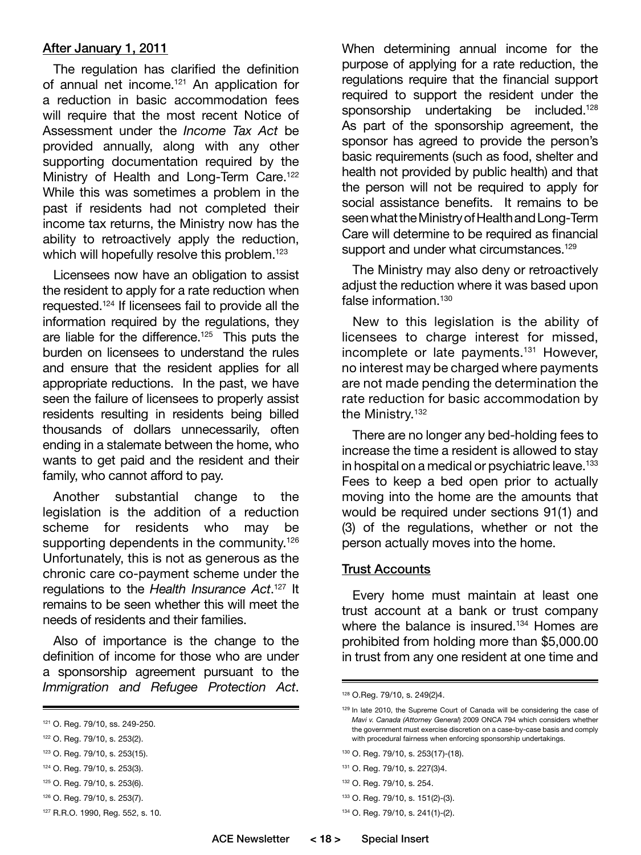#### After January 1, 2011

The regulation has clarified the definition of annual net income.<sup>121</sup> An application for a reduction in basic accommodation fees will require that the most recent Notice of Assessment under the *Income Tax Act* be provided annually, along with any other supporting documentation required by the Ministry of Health and Long-Term Care.<sup>122</sup> While this was sometimes a problem in the past if residents had not completed their income tax returns, the Ministry now has the ability to retroactively apply the reduction, which will hopefully resolve this problem.<sup>123</sup>

Licensees now have an obligation to assist the resident to apply for a rate reduction when requested.124 If licensees fail to provide all the information required by the regulations, they are liable for the difference.<sup>125</sup> This puts the burden on licensees to understand the rules and ensure that the resident applies for all appropriate reductions. In the past, we have seen the failure of licensees to properly assist residents resulting in residents being billed thousands of dollars unnecessarily, often ending in a stalemate between the home, who wants to get paid and the resident and their family, who cannot afford to pay.

Another substantial change to the legislation is the addition of a reduction scheme for residents who may be supporting dependents in the community.<sup>126</sup> Unfortunately, this is not as generous as the chronic care co-payment scheme under the regulations to the *Health Insurance Act*. 127 It remains to be seen whether this will meet the needs of residents and their families.

Also of importance is the change to the definition of income for those who are under a sponsorship agreement pursuant to the *Immigration and Refugee Protection Act*.

- 123 O. Reg. 79/10, s. 253(15).
- 124 O. Reg. 79/10, s. 253(3).
- 125 O. Reg. 79/10, s. 253(6).
- 126 O. Reg. 79/10, s. 253(7).
- 127 R.R.O. 1990, Reg. 552, s. 10.

When determining annual income for the purpose of applying for a rate reduction, the regulations require that the financial support required to support the resident under the sponsorship undertaking be included.<sup>128</sup> As part of the sponsorship agreement, the sponsor has agreed to provide the person's basic requirements (such as food, shelter and health not provided by public health) and that the person will not be required to apply for social assistance benefits. It remains to be seen what the Ministry of Health and Long-Term Care will determine to be required as financial support and under what circumstances.<sup>129</sup>

The Ministry may also deny or retroactively adjust the reduction where it was based upon false information.<sup>130</sup>

New to this legislation is the ability of licensees to charge interest for missed, incomplete or late payments.<sup>131</sup> However, no interest may be charged where payments are not made pending the determination the rate reduction for basic accommodation by the Ministry.<sup>132</sup>

There are no longer any bed-holding fees to increase the time a resident is allowed to stay in hospital on a medical or psychiatric leave.<sup>133</sup> Fees to keep a bed open prior to actually moving into the home are the amounts that would be required under sections 91(1) and (3) of the regulations, whether or not the person actually moves into the home.

#### Trust Accounts

Every home must maintain at least one trust account at a bank or trust company where the balance is insured.<sup>134</sup> Homes are prohibited from holding more than \$5,000.00 in trust from any one resident at one time and

- 131 O. Reg. 79/10, s. 227(3)4.
- 132 O. Reg. 79/10, s. 254.

134 O. Reg. 79/10, s. 241(1)-(2).

<sup>121</sup> O. Reg. 79/10, ss. 249-250.

<sup>122</sup> O. Reg. 79/10, s. 253(2).

<sup>128</sup> O.Reg. 79/10, s. 249(2)4.

<sup>129</sup> In late 2010, the Supreme Court of Canada will be considering the case of *Mavi v. Canada (Attorney General*) 2009 ONCA 794 which considers whether the government must exercise discretion on a case-by-case basis and comply with procedural fairness when enforcing sponsorship undertakings.

<sup>130</sup> O. Reg. 79/10, s. 253(17)-(18).

<sup>133</sup> O. Reg. 79/10, s. 151(2)-(3).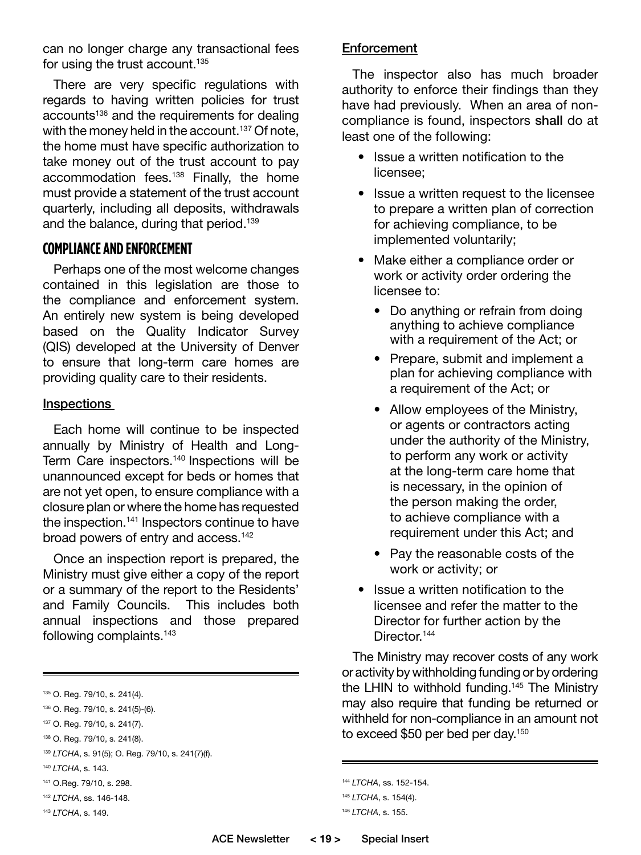can no longer charge any transactional fees for using the trust account.<sup>135</sup>

There are very specific regulations with regards to having written policies for trust accounts<sup>136</sup> and the requirements for dealing with the money held in the account.<sup>137</sup> Of note, the home must have specific authorization to take money out of the trust account to pay accommodation fees.138 Finally, the home must provide a statement of the trust account quarterly, including all deposits, withdrawals and the balance, during that period.139

## **COMPLIANCE AND ENFORCEMENT**

Perhaps one of the most welcome changes contained in this legislation are those to the compliance and enforcement system. An entirely new system is being developed based on the Quality Indicator Survey (QIS) developed at the University of Denver to ensure that long-term care homes are providing quality care to their residents.

#### Inspections

Each home will continue to be inspected annually by Ministry of Health and Long-Term Care inspectors.<sup>140</sup> Inspections will be unannounced except for beds or homes that are not yet open, to ensure compliance with a closure plan or where the home has requested the inspection.<sup>141</sup> Inspectors continue to have broad powers of entry and access.<sup>142</sup>

Once an inspection report is prepared, the Ministry must give either a copy of the report or a summary of the report to the Residents' and Family Councils. This includes both annual inspections and those prepared following complaints.143

<sup>143</sup> *LTCHA*, s. 149.

#### **Enforcement**

The inspector also has much broader authority to enforce their findings than they have had previously. When an area of noncompliance is found, inspectors shall do at least one of the following:

- Issue a written notification to the licensee;
- Issue a written request to the licensee to prepare a written plan of correction for achieving compliance, to be implemented voluntarily;
- Make either a compliance order or work or activity order ordering the licensee to:
	- Do anything or refrain from doing anything to achieve compliance with a requirement of the Act; or
	- Prepare, submit and implement a plan for achieving compliance with a requirement of the Act; or
	- Allow employees of the Ministry, or agents or contractors acting under the authority of the Ministry, to perform any work or activity at the long-term care home that is necessary, in the opinion of the person making the order, to achieve compliance with a requirement under this Act; and
	- Pay the reasonable costs of the work or activity; or
- Issue a written notification to the licensee and refer the matter to the Director for further action by the Director.<sup>144</sup>

The Ministry may recover costs of any work or activity by withholding funding or by ordering the LHIN to withhold funding.<sup>145</sup> The Ministry may also require that funding be returned or withheld for non-compliance in an amount not to exceed \$50 per bed per day.<sup>150</sup>

```
144 LTCHA, ss. 152-154.
```
<sup>135</sup> O. Reg. 79/10, s. 241(4).

<sup>136</sup> O. Reg. 79/10, s. 241(5)-(6).

<sup>137</sup> O. Reg. 79/10, s. 241(7).

<sup>138</sup> O. Reg. 79/10, s. 241(8).

<sup>139</sup> *LTCHA*, s. 91(5); O. Reg. 79/10, s. 241(7)(f).

<sup>140</sup> *LTCHA*, s. 143.

<sup>141</sup> O.Reg. 79/10, s. 298.

<sup>142</sup> *LTCHA*, ss. 146-148.

<sup>145</sup> *LTCHA*, s. 154(4). <sup>146</sup> *LTCHA*, s. 155.